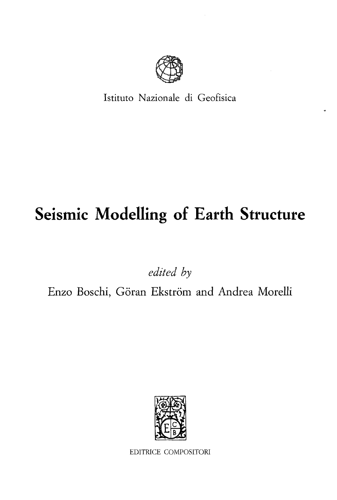

Istituto Nazionale di Geofisica

# **Seismic Modelling of Earth Structure**

*edited by*

Enzo Boschi, Göran Ekström and Andrea Morelli

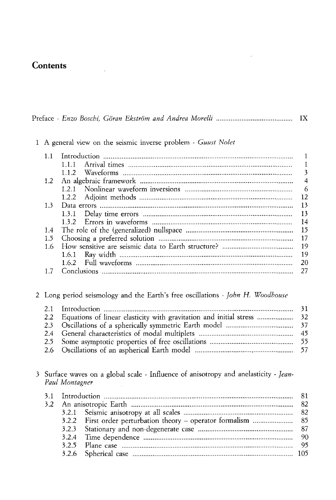## Contents

|--|--|--|--|--|--|--|--|--|--|--|

1 A general view on the seismic inverse problem - *Guust Nolet*

| 1.1      |                |
|----------|----------------|
|          | $\blacksquare$ |
|          |                |
|          | $\overline{4}$ |
|          |                |
|          | - 12           |
| 1.3      | 13             |
|          | 13             |
|          | -14            |
| 1.4      |                |
| 1.5      |                |
| 1.6      |                |
|          | 19             |
|          | - 20           |
| $17^{-}$ |                |

Long period seismology and the Earth's free oscillations - *]ohn H. Woodhouse*

| 2.2 Equations of linear elasticity with gravitation and initial stress  32 |  |
|----------------------------------------------------------------------------|--|
|                                                                            |  |
|                                                                            |  |
|                                                                            |  |
|                                                                            |  |

3 Surface waves on a global scale - Influence of anisotropy and anelasticity - *jean-Paul Montagner*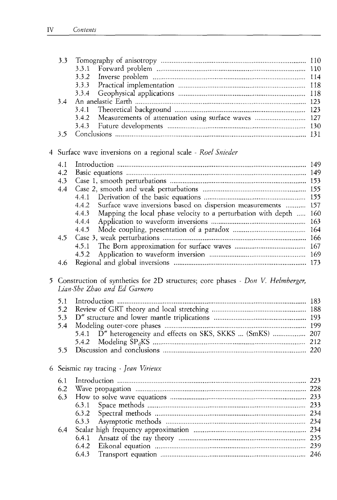|   | 3.3 | 3.3.1                                                                                                          |  |
|---|-----|----------------------------------------------------------------------------------------------------------------|--|
|   |     | 3.3.2                                                                                                          |  |
|   |     | 3.3.3                                                                                                          |  |
|   |     | 3.3.4                                                                                                          |  |
|   | 3.4 |                                                                                                                |  |
|   |     | 3.4.1                                                                                                          |  |
|   |     | 3.4.2                                                                                                          |  |
|   |     | 3.4.3                                                                                                          |  |
|   | 3.5 |                                                                                                                |  |
|   |     |                                                                                                                |  |
|   |     | 4 Surface wave inversions on a regional scale - Roel Snieder                                                   |  |
|   | 4.1 |                                                                                                                |  |
|   | 4.2 |                                                                                                                |  |
|   | 4.3 |                                                                                                                |  |
|   | 4.4 |                                                                                                                |  |
|   |     | 4.4.1                                                                                                          |  |
|   |     | Surface wave inversions based on dispersion measurements  157<br>4.4.2                                         |  |
|   |     | Mapping the local phase velocity to a perturbation with depth  160<br>4.4.3                                    |  |
|   |     | 4.4.4                                                                                                          |  |
|   |     | 4.4.5                                                                                                          |  |
|   | 4.5 |                                                                                                                |  |
|   |     | 4.5.1                                                                                                          |  |
|   |     | 4.5.2                                                                                                          |  |
|   | 4.6 |                                                                                                                |  |
| 5 |     | Construction of synthetics for 2D structures; core phases - Don V. Helmberger,<br>Lian-She Zhao and Ed Garnero |  |
|   | 5.1 |                                                                                                                |  |
|   | 5.2 |                                                                                                                |  |
|   | 5.3 |                                                                                                                |  |
|   | 5.4 |                                                                                                                |  |
|   |     | D" heterogeneity and effects on SKS, SKKS  (SmKS)  207<br>5.4.1                                                |  |
|   |     | 5.4.2                                                                                                          |  |
|   | 5.5 |                                                                                                                |  |
|   |     | 6 Seismic ray tracing - Jean Virieux                                                                           |  |
|   | 6.1 |                                                                                                                |  |
|   | 6.2 |                                                                                                                |  |
|   | 6.3 |                                                                                                                |  |
|   |     | 6.3.1                                                                                                          |  |
|   |     | 6.3.2                                                                                                          |  |
|   |     | 6.3.3                                                                                                          |  |
|   | 6.4 |                                                                                                                |  |

6.4.1 Ansatz of the ray theory 235 6.4.2 Eikonal equation 239 6.4.3 Transport equation 246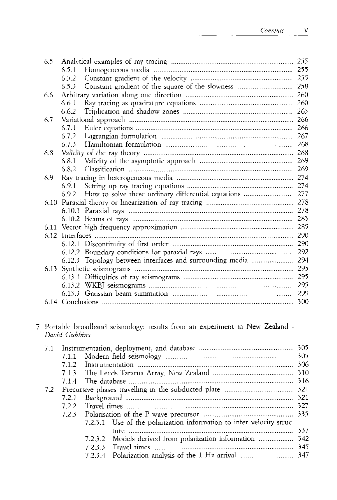| 6.5 |       |                                                          | 255 |
|-----|-------|----------------------------------------------------------|-----|
|     | 6.5.1 |                                                          | 255 |
|     | 6.5.2 |                                                          | 255 |
|     | 6.5.3 |                                                          |     |
| 6.6 |       |                                                          | 260 |
|     | 6.6.1 |                                                          | 260 |
|     | 6.6.2 |                                                          | 265 |
| 6.7 |       |                                                          | 266 |
|     | 6.7.1 |                                                          |     |
|     | 6.7.2 |                                                          | 267 |
|     | 6.7.3 |                                                          | 268 |
| 6.8 |       |                                                          | 268 |
|     |       |                                                          |     |
|     | 6.8.2 |                                                          | 269 |
| 6.9 |       |                                                          |     |
|     | 6.9.1 |                                                          |     |
|     | 6.9.2 | How to solve these ordinary differential equations  277  |     |
|     |       |                                                          |     |
|     |       |                                                          | 278 |
|     |       |                                                          | 283 |
|     |       |                                                          | 285 |
|     |       |                                                          |     |
|     |       |                                                          | 290 |
|     |       |                                                          | 292 |
|     |       | 6.12.3 Topology between interfaces and surrounding media | 294 |
|     |       |                                                          | 295 |
|     |       |                                                          | 295 |
|     |       |                                                          | 295 |
|     |       |                                                          | 299 |
|     |       |                                                          |     |
|     |       |                                                          |     |

#### 7 Portable broadband seismology: results from an experiment in New Zealand - *David Gubbins*

| 7.1 |       |                                                                      |  |
|-----|-------|----------------------------------------------------------------------|--|
|     | 7.1.1 |                                                                      |  |
|     | 7.1.2 |                                                                      |  |
|     |       |                                                                      |  |
|     | 7.1.4 |                                                                      |  |
| 7.2 |       |                                                                      |  |
|     | 7.2.1 |                                                                      |  |
|     | 7.2.2 |                                                                      |  |
|     |       |                                                                      |  |
|     |       | 7.2.3.1 Use of the polarization information to infer velocity struc- |  |
|     |       |                                                                      |  |
|     |       | 7.2.3.2 Models derived from polarization information  342            |  |
|     |       |                                                                      |  |
|     |       |                                                                      |  |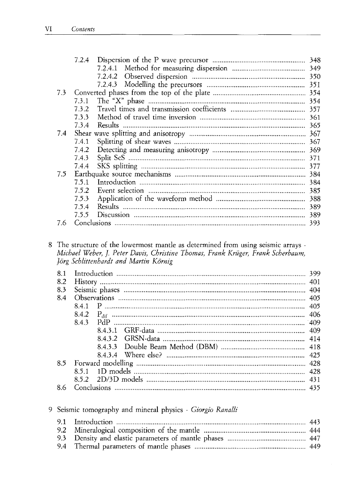|     | 7.2.4 |     |
|-----|-------|-----|
|     |       |     |
|     |       | 350 |
|     |       |     |
| 7.3 |       |     |
|     | 7.3.1 |     |
|     | 732   |     |
|     | 7.3.3 | 361 |
|     | 7.3.4 |     |
| 7.4 |       |     |
|     | 7.4.1 |     |
|     | 7.4.2 |     |
|     | 7.4.3 | 371 |
|     | 7.4.4 |     |
| 7.5 |       | 384 |
|     | 7.5.1 | 384 |
|     | 7.5.2 | 385 |
|     | 7.5.3 | 388 |
|     | 7.5.4 |     |
|     | 7.5.5 |     |
| 7.6 |       |     |
|     |       |     |

#### The structure of the lowermost mantle as determined from using seismic arrays - *Michael Weber, J. Peter Davis, Christine Thomas, Frank Kriiger, Frank Scherbaum,* Jörg Schlittenhardt and Martin Körnig

| 8.1 |      |      |  |
|-----|------|------|--|
| 8.2 |      |      |  |
| 8.3 |      |      |  |
| 8.4 |      |      |  |
|     |      |      |  |
|     |      |      |  |
|     | 8.43 |      |  |
|     |      | 8431 |  |
|     |      |      |  |
|     |      |      |  |
|     |      |      |  |
| 8.5 |      |      |  |
|     | 851  |      |  |
|     |      |      |  |
| 8.6 |      |      |  |

#### 9 Seismic tomography and mineral physics - Giorgio Ranalli